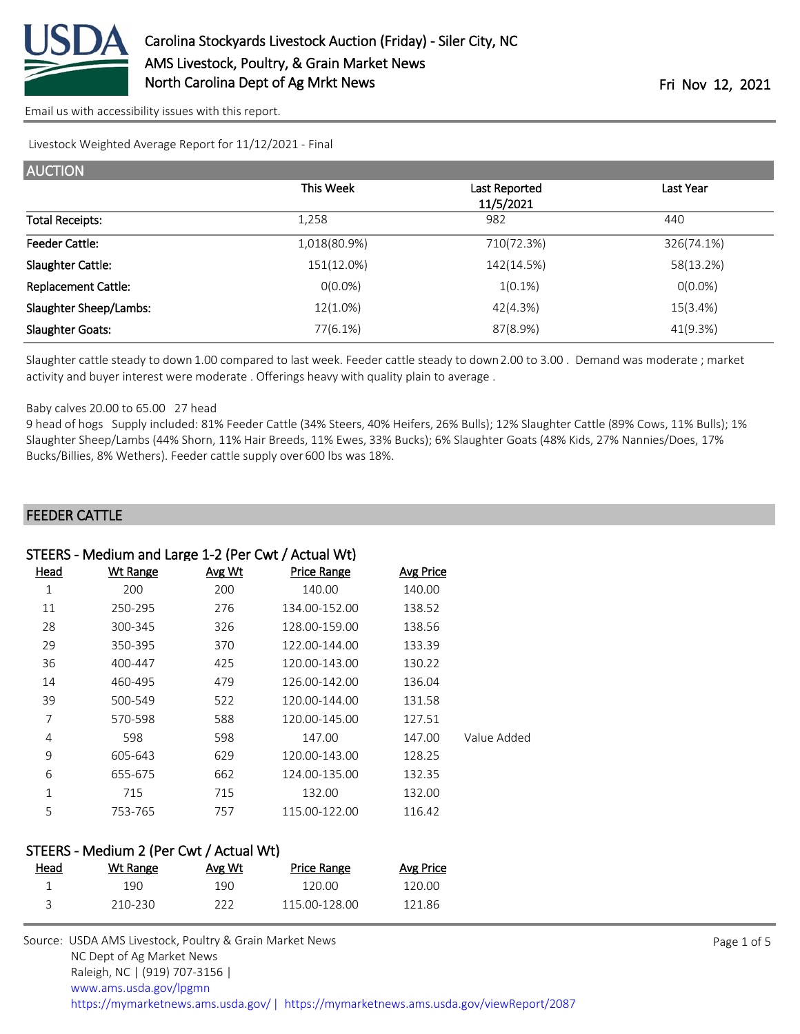

[Email us with accessibility issues with this report.](mailto:mars@ams.usda.gov?subject=508%20issue)

Livestock Weighted Average Report for 11/12/2021 - Final

| This Week    | Last Reported<br>11/5/2021 | Last Year  |
|--------------|----------------------------|------------|
| 1,258        | 982                        | 440        |
| 1,018(80.9%) | 710(72.3%)                 | 326(74.1%) |
| 151(12.0%)   | 142(14.5%)                 | 58(13.2%)  |
| $O(0.0\%)$   | $1(0.1\%)$                 | $O(0.0\%)$ |
| 12(1.0%)     | 42(4.3%)                   | 15(3.4%)   |
| 77(6.1%)     | 87(8.9%)                   | 41(9.3%)   |
|              |                            |            |

Slaughter cattle steady to down 1.00 compared to last week. Feeder cattle steady to down 2.00 to 3.00 . Demand was moderate ; market activity and buyer interest were moderate . Offerings heavy with quality plain to average .

#### Baby calves 20.00 to 65.00 27 head

9 head of hogs Supply included: 81% Feeder Cattle (34% Steers, 40% Heifers, 26% Bulls); 12% Slaughter Cattle (89% Cows, 11% Bulls); 1% Slaughter Sheep/Lambs (44% Shorn, 11% Hair Breeds, 11% Ewes, 33% Bucks); 6% Slaughter Goats (48% Kids, 27% Nannies/Does, 17% Bucks/Billies, 8% Wethers). Feeder cattle supply over 600 lbs was 18%.

#### FEEDER CATTLE

# STEERS - Medium and Large 1-2 (Per Cwt / Actual Wt)

| Head | <b>Wt Range</b> | Avg Wt | <b>Price Range</b> | <b>Avg Price</b> |             |
|------|-----------------|--------|--------------------|------------------|-------------|
| 1    | 200             | 200    | 140.00             | 140.00           |             |
| 11   | 250-295         | 276    | 134.00-152.00      | 138.52           |             |
| 28   | 300-345         | 326    | 128.00-159.00      | 138.56           |             |
| 29   | 350-395         | 370    | 122.00-144.00      | 133.39           |             |
| 36   | 400-447         | 425    | 120.00-143.00      | 130.22           |             |
| 14   | 460-495         | 479    | 126.00-142.00      | 136.04           |             |
| 39   | 500-549         | 522    | 120.00-144.00      | 131.58           |             |
| 7    | 570-598         | 588    | 120.00-145.00      | 127.51           |             |
| 4    | 598             | 598    | 147.00             | 147.00           | Value Added |
| 9    | 605-643         | 629    | 120.00-143.00      | 128.25           |             |
| 6    | 655-675         | 662    | 124.00-135.00      | 132.35           |             |
| 1    | 715             | 715    | 132.00             | 132.00           |             |
| 5    | 753-765         | 757    | 115.00-122.00      | 116.42           |             |

#### STEERS - Medium 2 (Per Cwt / Actual Wt)

| <u>Head</u> | Wt Range | Avg Wt | Price Range   | Avg Price |
|-------------|----------|--------|---------------|-----------|
|             | 19N      | 190    | 120.00.       | 120.00    |
|             | 210-230  | フフフ    | 115.00-128.00 | 121.86    |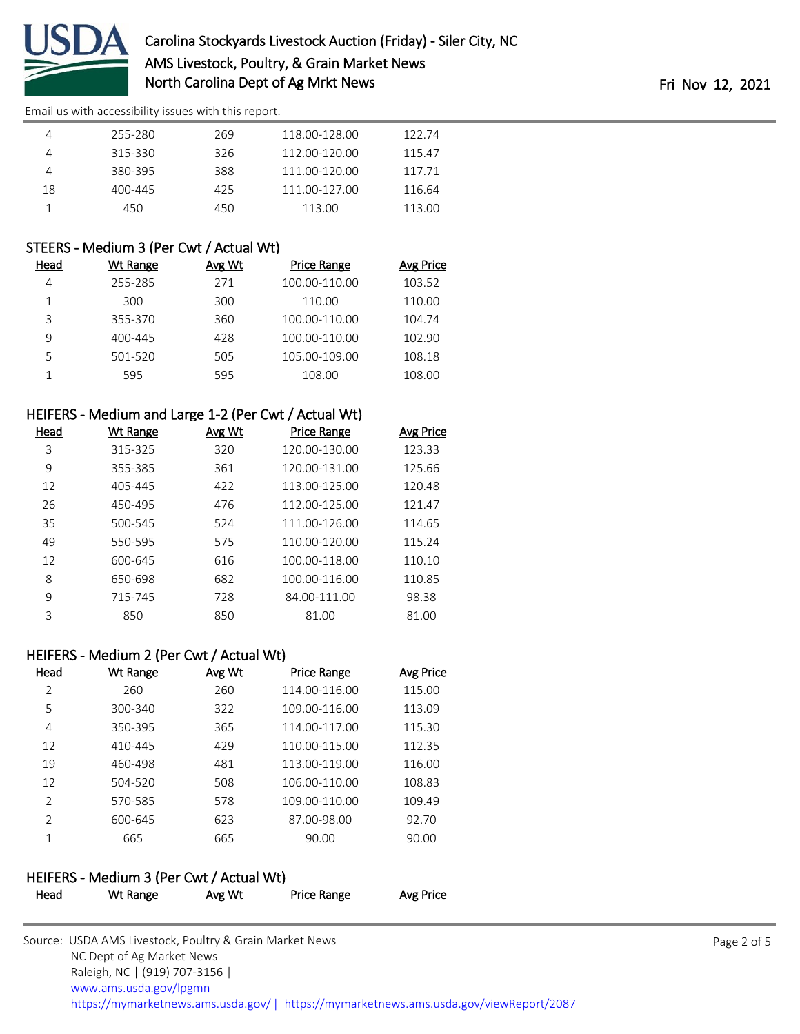

[Email us with accessibility issues with this report.](mailto:mars@ams.usda.gov?subject=508%20issue)

|    | 255-280 | 269 | 118.00-128.00 | 122.74 |
|----|---------|-----|---------------|--------|
|    | 315-330 | 326 | 112.00-120.00 | 115.47 |
|    | 380-395 | 388 | 111.00-120.00 | 117.71 |
| 18 | 400-445 | 425 | 111.00-127.00 | 116.64 |
|    | 450     | 450 | 113.00        | 113.00 |

## STEERS - Medium 3 (Per Cwt / Actual Wt)

| Head | Wt Range | Avg Wt | <b>Price Range</b> | Avg Price |
|------|----------|--------|--------------------|-----------|
| 4    | 255-285  | 271    | 100.00-110.00      | 103.52    |
|      | 300      | 300    | 110.00             | 110.00    |
| ς    | 355-370  | 360    | 100.00-110.00      | 104.74    |
| 9    | 400-445  | 428    | 100.00-110.00      | 102.90    |
| 5    | 501-520  | 505    | 105.00-109.00      | 108.18    |
|      | 595      | 595    | 108.00             | 108.00    |

# HEIFERS - Medium and Large 1-2 (Per Cwt / Actual Wt)

| Head | Wt Range | Avg Wt | <u>Price Range</u> | Avg Price |
|------|----------|--------|--------------------|-----------|
| 3    | 315-325  | 320    | 120.00-130.00      | 123.33    |
| 9    | 355-385  | 361    | 120.00-131.00      | 125.66    |
| 12   | 405-445  | 422    | 113.00-125.00      | 120.48    |
| 26   | 450-495  | 476    | 112.00-125.00      | 121.47    |
| 35   | 500-545  | 524    | 111.00-126.00      | 114.65    |
| 49   | 550-595  | 575    | 110.00-120.00      | 115.24    |
| 12   | 600-645  | 616    | 100.00-118.00      | 110.10    |
| 8    | 650-698  | 682    | 100.00-116.00      | 110.85    |
| 9    | 715-745  | 728    | 84.00-111.00       | 98.38     |
| 3    | 850      | 850    | 81.00              | 81.00     |

## HEIFERS - Medium 2 (Per Cwt / Actual Wt)

| Head          | Wt Range | Avg Wt | <b>Price Range</b> | Avg Price |
|---------------|----------|--------|--------------------|-----------|
| $\mathcal{P}$ | 260      | 260    | 114.00-116.00      | 115.00    |
| 5             | 300-340  | 322    | 109.00-116.00      | 113.09    |
| 4             | 350-395  | 365    | 114.00-117.00      | 115.30    |
| 12            | 410-445  | 429    | 110.00-115.00      | 112.35    |
| 19            | 460-498  | 481    | 113.00-119.00      | 116.00    |
| 12            | 504-520  | 508    | 106.00-110.00      | 108.83    |
| $\mathcal{P}$ | 570-585  | 578    | 109.00-110.00      | 109.49    |
| $\mathcal{P}$ | 600-645  | 623    | 87.00-98.00        | 92.70     |
| 1             | 665      | 665    | 90.00              | 90.00     |

## HEIFERS - Medium 3 (Per Cwt / Actual Wt)

| .    |          |               |                    |                  |
|------|----------|---------------|--------------------|------------------|
| Head | Wt Range | <b>Avg Wt</b> | <b>Price Range</b> | <b>Avg Price</b> |
|      |          |               |                    |                  |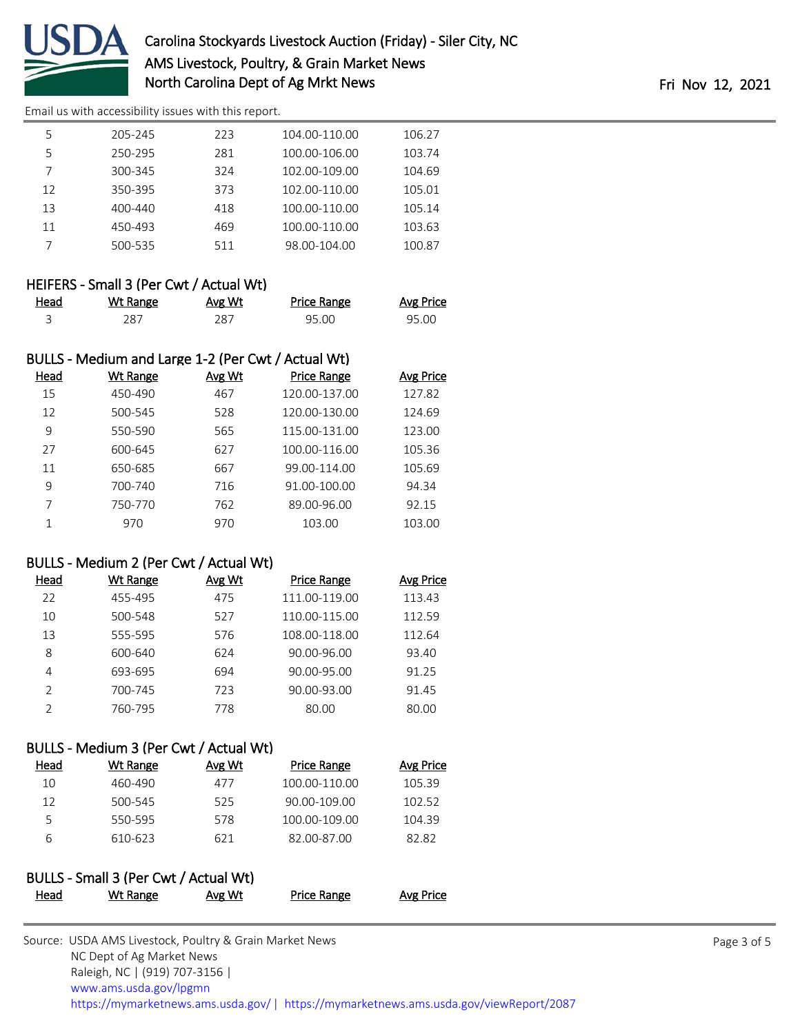

[Email us with accessibility issues with this report.](mailto:mars@ams.usda.gov?subject=508%20issue)

| 5  | 205-245 | 223 | 104.00-110.00 | 106.27 |
|----|---------|-----|---------------|--------|
|    |         |     |               |        |
| 5  | 250-295 | 281 | 100.00-106.00 | 103.74 |
|    | 300-345 | 324 | 102.00-109.00 | 104.69 |
| 12 | 350-395 | 373 | 102.00-110.00 | 105.01 |
| 13 | 400-440 | 418 | 100.00-110.00 | 105.14 |
| 11 | 450-493 | 469 | 100.00-110.00 | 103.63 |
|    | 500-535 | 511 | 98.00-104.00  | 100.87 |
|    |         |     |               |        |

## HEIFERS - Small 3 (Per Cwt / Actual Wt)

| Head<br><u>experience</u> and the contract of the | Wt Range | Avg Wt | Price Range | <b>Avg Price</b> |
|---------------------------------------------------|----------|--------|-------------|------------------|
|                                                   | 287      | 287    | 95.00       | 95.00            |

# BULLS - Medium and Large 1-2 (Per Cwt / Actual Wt)

| Wt Range | Avg Wt | <b>Price Range</b> | <b>Avg Price</b> |
|----------|--------|--------------------|------------------|
| 450-490  | 467    | 120.00-137.00      | 127.82           |
| 500-545  | 528    | 120.00-130.00      | 124.69           |
| 550-590  | 565    | 115.00-131.00      | 123.00           |
| 600-645  | 627    | 100.00-116.00      | 105.36           |
| 650-685  | 667    | 99.00-114.00       | 105.69           |
| 700-740  | 716    | 91.00-100.00       | 94.34            |
| 750-770  | 762    | 89.00-96.00        | 92.15            |
| 970      | 970    | 103.00             | 103.00           |
|          |        |                    |                  |

# BULLS - Medium 2 (Per Cwt / Actual Wt)

| Head          | Wt Range | Avg Wt | <b>Price Range</b> | <b>Avg Price</b> |
|---------------|----------|--------|--------------------|------------------|
| 22            | 455-495  | 475    | 111.00-119.00      | 113.43           |
| 10            | 500-548  | 527    | 110.00-115.00      | 112.59           |
| 13            | 555-595  | 576    | 108.00-118.00      | 112.64           |
| 8             | 600-640  | 624    | 90.00-96.00        | 93.40            |
| 4             | 693-695  | 694    | 90.00-95.00        | 91.25            |
| $\mathcal{D}$ | 700-745  | 723    | 90.00-93.00        | 91.45            |
| っ             | 760-795  | 778    | 80.00              | 80.00            |

## BULLS - Medium 3 (Per Cwt / Actual Wt)

| Head | Wt Range | Avg Wt | <b>Price Range</b> | Avg Price |
|------|----------|--------|--------------------|-----------|
| 10   | 460-490  | 477    | 100.00-110.00      | 105.39    |
| 12   | 500-545  | 525    | 90.00-109.00       | 102.52    |
| 5    | 550-595  | 578    | 100.00-109.00      | 104.39    |
| 6    | 610-623  | 621    | 82.00-87.00        | 82.82     |
|      |          |        |                    |           |

#### BULLS - Small 3 (Per Cwt / Actual Wt) Head Wt Range Avg Wt Price Range Avg Price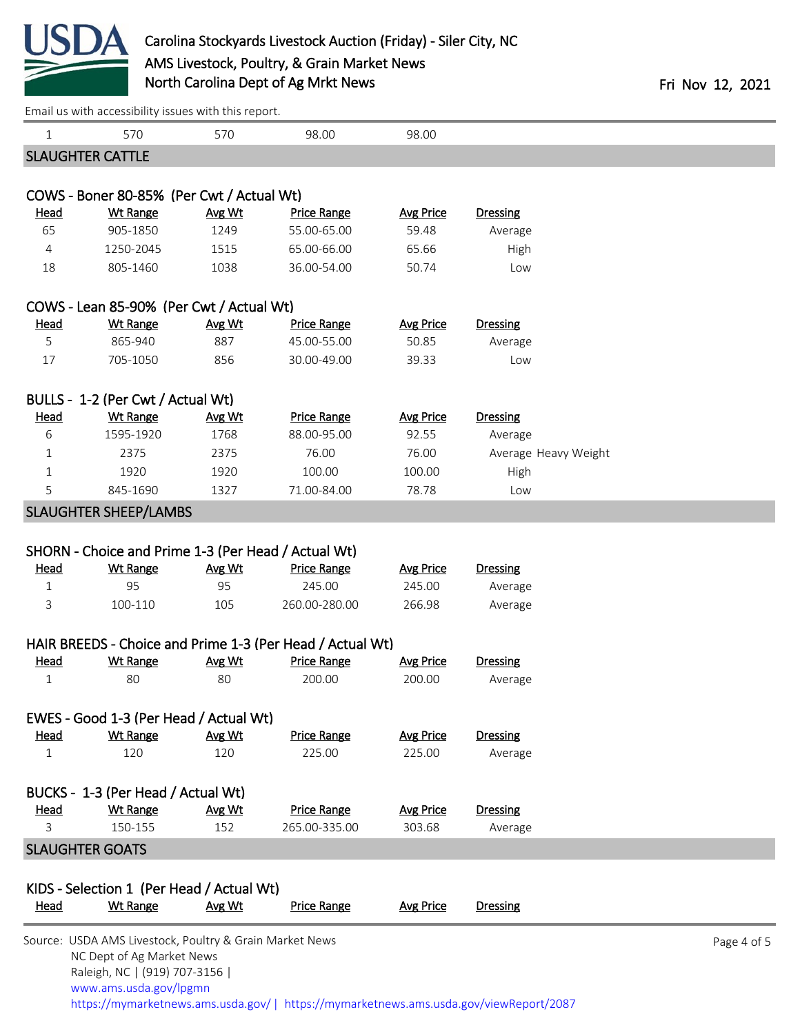

| Email us with accessibility issues with this report. |  |  |
|------------------------------------------------------|--|--|
|                                                      |  |  |

| 1                           | 570                                                                                  | 570    | 98.00              | 98.00            |                                                                                        |             |
|-----------------------------|--------------------------------------------------------------------------------------|--------|--------------------|------------------|----------------------------------------------------------------------------------------|-------------|
|                             | <b>SLAUGHTER CATTLE</b>                                                              |        |                    |                  |                                                                                        |             |
|                             |                                                                                      |        |                    |                  |                                                                                        |             |
|                             | COWS - Boner 80-85% (Per Cwt / Actual Wt)                                            |        |                    |                  |                                                                                        |             |
| <b>Head</b>                 | <b>Wt Range</b>                                                                      | Avg Wt | <b>Price Range</b> | <b>Avg Price</b> | Dressing                                                                               |             |
| 65                          | 905-1850                                                                             | 1249   | 55.00-65.00        | 59.48            | Average                                                                                |             |
| 4                           | 1250-2045                                                                            | 1515   | 65.00-66.00        | 65.66            | High                                                                                   |             |
| 18                          | 805-1460                                                                             | 1038   | 36.00-54.00        | 50.74            | Low                                                                                    |             |
|                             | COWS - Lean 85-90% (Per Cwt / Actual Wt)                                             |        |                    |                  |                                                                                        |             |
| <b>Head</b>                 | <b>Wt Range</b>                                                                      | Avg Wt | <b>Price Range</b> | <b>Avg Price</b> | Dressing                                                                               |             |
| 5                           | 865-940                                                                              | 887    | 45.00-55.00        | 50.85            | Average                                                                                |             |
| 17                          | 705-1050                                                                             | 856    | 30.00-49.00        | 39.33            | Low                                                                                    |             |
|                             | BULLS - 1-2 (Per Cwt / Actual Wt)                                                    |        |                    |                  |                                                                                        |             |
| <b>Head</b>                 | Wt Range                                                                             | Avg Wt | <b>Price Range</b> | <b>Avg Price</b> | Dressing                                                                               |             |
| 6                           | 1595-1920                                                                            | 1768   | 88.00-95.00        | 92.55            | Average                                                                                |             |
| $\mathbf{1}$                | 2375                                                                                 | 2375   | 76.00              | 76.00            | Average Heavy Weight                                                                   |             |
| $\mathbf{1}$                | 1920                                                                                 | 1920   | 100.00             | 100.00           | High                                                                                   |             |
| 5                           | 845-1690                                                                             | 1327   | 71.00-84.00        | 78.78            | Low                                                                                    |             |
|                             | <b>SLAUGHTER SHEEP/LAMBS</b>                                                         |        |                    |                  |                                                                                        |             |
|                             |                                                                                      |        |                    |                  |                                                                                        |             |
|                             | SHORN - Choice and Prime 1-3 (Per Head / Actual Wt)                                  |        |                    |                  |                                                                                        |             |
| <b>Head</b>                 | <b>Wt Range</b>                                                                      | Avg Wt | <b>Price Range</b> | <b>Avg Price</b> | <b>Dressing</b>                                                                        |             |
| $\mathbf{1}$                | 95                                                                                   | 95     | 245.00             | 245.00           | Average                                                                                |             |
| 3                           | 100-110                                                                              | 105    | 260.00-280.00      | 266.98           | Average                                                                                |             |
|                             | HAIR BREEDS - Choice and Prime 1-3 (Per Head / Actual Wt)                            |        |                    |                  |                                                                                        |             |
| <b>Head</b>                 | <b>Wt Range</b>                                                                      | Avg Wt | <b>Price Range</b> | <b>Avg Price</b> | <b>Dressing</b>                                                                        |             |
| $\mathbf{1}$                | 80                                                                                   | 80     | 200.00             | 200.00           | Average                                                                                |             |
|                             |                                                                                      |        |                    |                  |                                                                                        |             |
|                             | EWES - Good 1-3 (Per Head / Actual Wt)<br><b>Wt Range</b>                            | Avg Wt | <b>Price Range</b> | <b>Avg Price</b> | <b>Dressing</b>                                                                        |             |
| <u>Head</u><br>$\mathbf{1}$ | 120                                                                                  | 120    | 225.00             | 225.00           | Average                                                                                |             |
|                             |                                                                                      |        |                    |                  |                                                                                        |             |
|                             | BUCKS - 1-3 (Per Head / Actual Wt)                                                   |        |                    |                  |                                                                                        |             |
| <b>Head</b>                 | <b>Wt Range</b>                                                                      | Avg Wt | <b>Price Range</b> | <b>Avg Price</b> | <b>Dressing</b>                                                                        |             |
| 3                           | 150-155                                                                              | 152    | 265.00-335.00      | 303.68           | Average                                                                                |             |
|                             | <b>SLAUGHTER GOATS</b>                                                               |        |                    |                  |                                                                                        |             |
|                             | KIDS - Selection 1 (Per Head / Actual Wt)                                            |        |                    |                  |                                                                                        |             |
| <b>Head</b>                 | <b>Wt Range</b>                                                                      | Avg Wt | <b>Price Range</b> | <b>Avg Price</b> | <b>Dressing</b>                                                                        |             |
|                             |                                                                                      |        |                    |                  |                                                                                        |             |
|                             | Source: USDA AMS Livestock, Poultry & Grain Market News<br>NC Dept of Ag Market News |        |                    |                  |                                                                                        | Page 4 of 5 |
|                             | Raleigh, NC   (919) 707-3156                                                         |        |                    |                  |                                                                                        |             |
|                             | www.ams.usda.gov/lpgmn                                                               |        |                    |                  |                                                                                        |             |
|                             |                                                                                      |        |                    |                  | https://mymarketnews.ams.usda.gov/   https://mymarketnews.ams.usda.gov/viewReport/2087 |             |